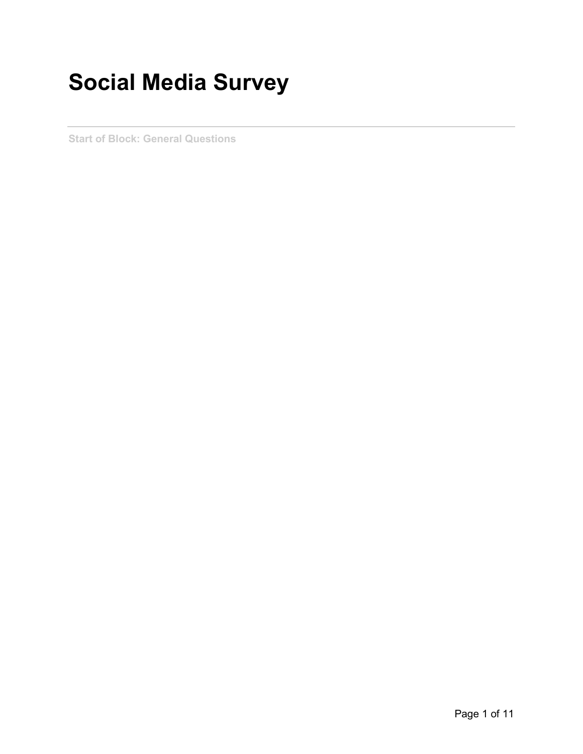## **Social Media Survey**

**Start of Block: General Questions**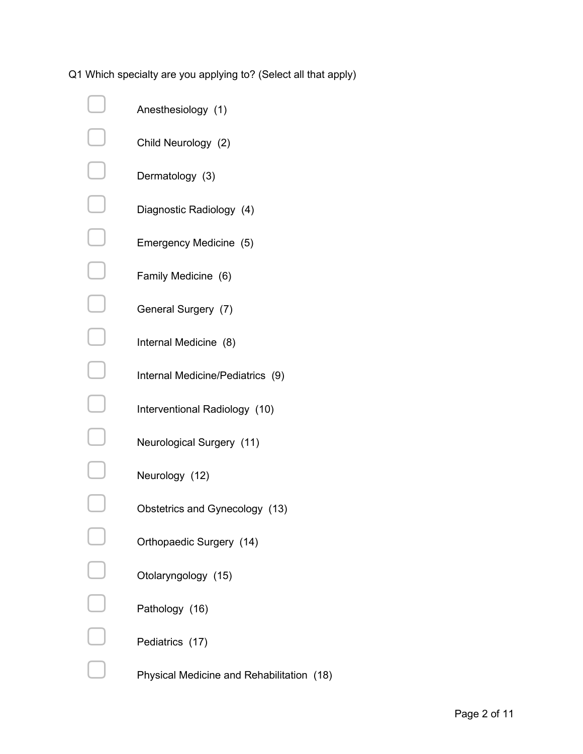Q1 Which specialty are you applying to? (Select all that apply)

| Anesthesiology (1)                        |
|-------------------------------------------|
| Child Neurology (2)                       |
| Dermatology (3)                           |
| Diagnostic Radiology (4)                  |
| Emergency Medicine (5)                    |
| Family Medicine (6)                       |
| General Surgery (7)                       |
| Internal Medicine (8)                     |
| Internal Medicine/Pediatrics (9)          |
| Interventional Radiology (10)             |
| Neurological Surgery (11)                 |
| Neurology (12)                            |
| Obstetrics and Gynecology (13)            |
| Orthopaedic Surgery (14)                  |
| Otolaryngology (15)                       |
| Pathology (16)                            |
| Pediatrics (17)                           |
| Physical Medicine and Rehabilitation (18) |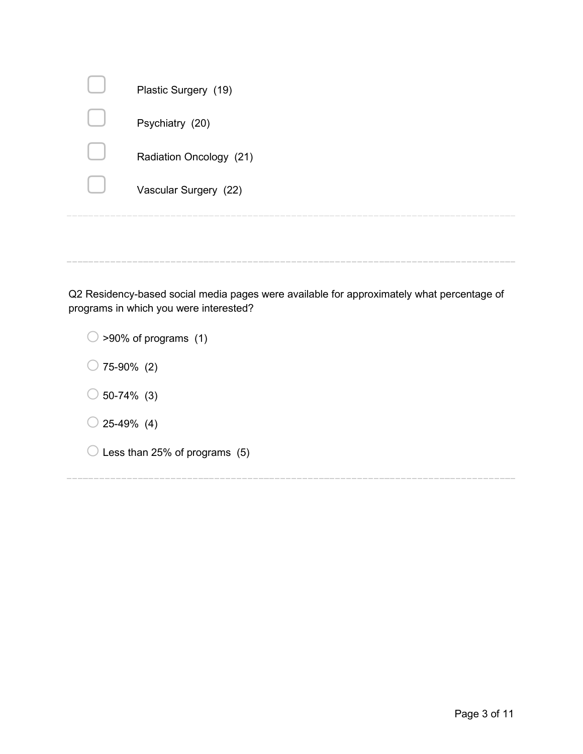|         | Plastic Surgery (19)    |
|---------|-------------------------|
|         | Psychiatry (20)         |
|         | Radiation Oncology (21) |
|         | Vascular Surgery (22)   |
| _______ |                         |

Q2 Residency-based social media pages were available for approximately what percentage of programs in which you were interested?

| $\bigcirc$ >90% of programs (1)          |  |
|------------------------------------------|--|
| $\bigcirc$ 75-90% (2)                    |  |
| $\bigcirc$ 50-74% (3)                    |  |
| $\bigcirc$ 25-49% (4)                    |  |
| $\bigcirc$ Less than 25% of programs (5) |  |
|                                          |  |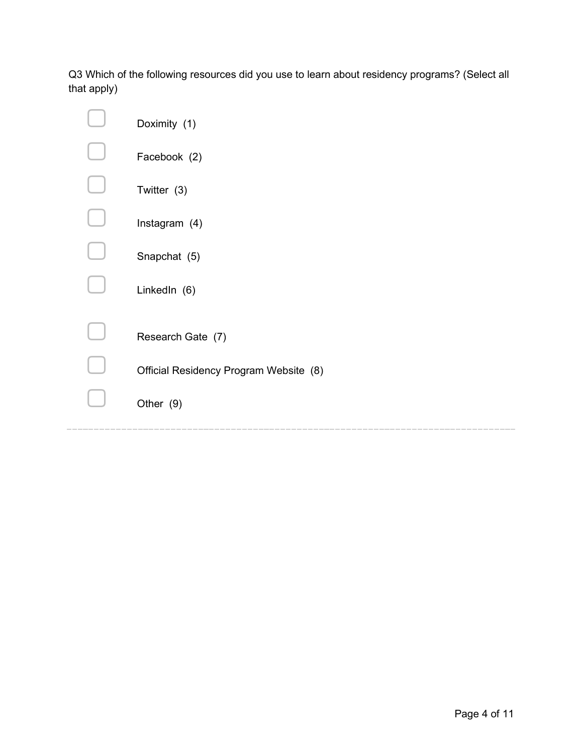Q3 Which of the following resources did you use to learn about residency programs? (Select all that apply)

| Doximity (1)                           |
|----------------------------------------|
| Facebook (2)                           |
| Twitter (3)                            |
| Instagram (4)                          |
| Snapchat (5)                           |
| LinkedIn (6)                           |
|                                        |
| Research Gate (7)                      |
| Official Residency Program Website (8) |
| Other (9)                              |
|                                        |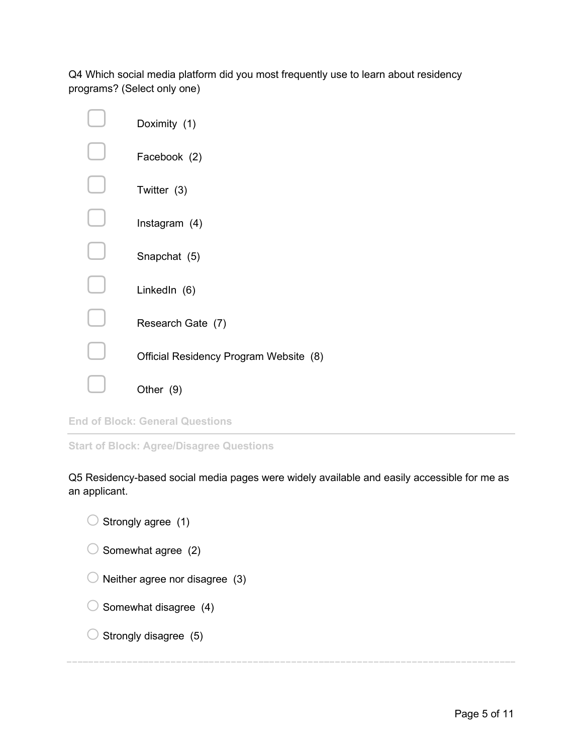Q4 Which social media platform did you most frequently use to learn about residency programs? (Select only one)

| Doximity (1)                           |
|----------------------------------------|
| Facebook (2)                           |
| Twitter (3)                            |
| Instagram (4)                          |
| Snapchat (5)                           |
| LinkedIn (6)                           |
| Research Gate (7)                      |
| Official Residency Program Website (8) |
| Other (9)                              |

**End of Block: General Questions**

**Start of Block: Agree/Disagree Questions**

Q5 Residency-based social media pages were widely available and easily accessible for me as an applicant.

| $\bigcirc$ Strongly agree (1) |  |
|-------------------------------|--|
|-------------------------------|--|

- $\bigcirc$  Somewhat agree (2)
- $\bigcirc$  Neither agree nor disagree (3)
- $\bigcirc$  Somewhat disagree (4)
- $\bigcirc$  Strongly disagree (5)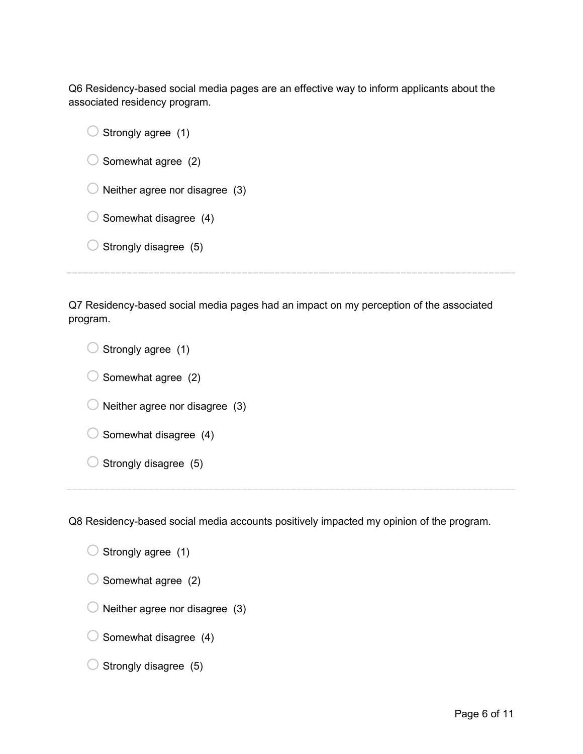Q6 Residency-based social media pages are an effective way to inform applicants about the associated residency program.

 $\bigcirc$  Strongly agree (1)

 $\bigcirc$  Somewhat agree (2)

 $\bigcirc$  Neither agree nor disagree (3)

 $\bigcirc$  Somewhat disagree (4)

 $\bigcirc$  Strongly disagree (5)

Q7 Residency-based social media pages had an impact on my perception of the associated program.

 $\bigcirc$  Strongly agree (1)  $\bigcirc$  Somewhat agree (2)  $\bigcirc$  Neither agree nor disagree (3)  $\bigcirc$  Somewhat disagree (4)  $\bigcirc$  Strongly disagree (5)

Q8 Residency-based social media accounts positively impacted my opinion of the program.

 $\bigcirc$  Strongly agree (1)  $\bigcirc$  Somewhat agree (2)  $\bigcirc$  Neither agree nor disagree (3)  $\bigcirc$  Somewhat disagree (4)

 $\bigcirc$  Strongly disagree (5)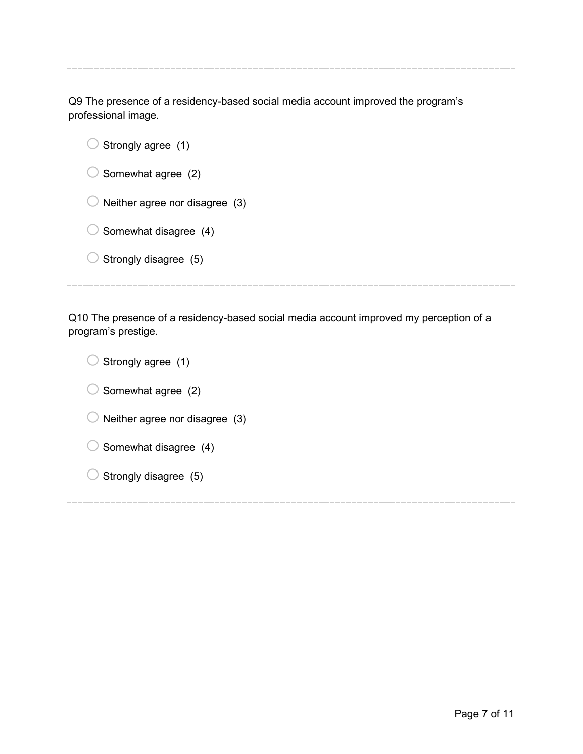Q9 The presence of a residency-based social media account improved the program's professional image*.*

| Strongly agree (1)             |
|--------------------------------|
| Somewhat agree (2)             |
| Neither agree nor disagree (3) |
| Somewhat disagree (4)          |
| Strongly disagree (5)          |
|                                |

Q10 The presence of a residency-based social media account improved my perception of a program's prestige.

 $\bigcirc$  Strongly agree (1)  $\bigcirc$  Somewhat agree (2)  $\bigcirc$  Neither agree nor disagree (3)  $\bigcirc$  Somewhat disagree (4)  $\bigcirc$  Strongly disagree (5)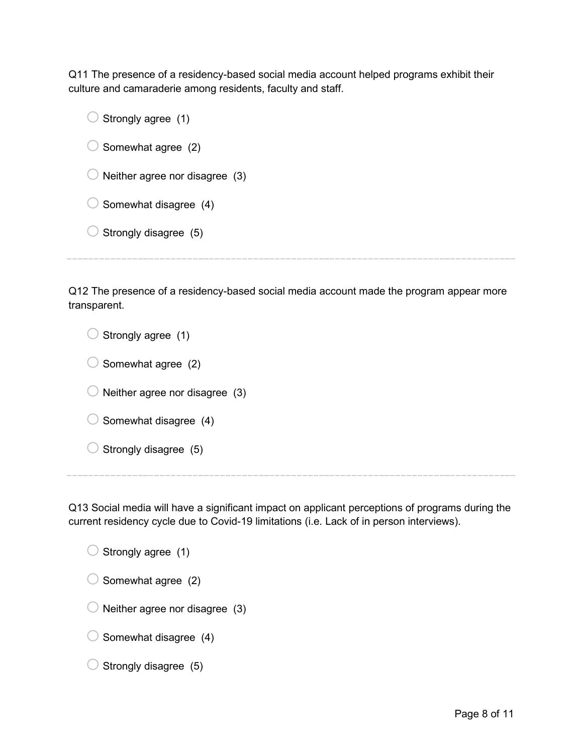Q11 The presence of a residency-based social media account helped programs exhibit their culture and camaraderie among residents, faculty and staff.

| Strongly agree (1)             |
|--------------------------------|
| Somewhat agree (2)             |
| Neither agree nor disagree (3) |
| Somewhat disagree (4)          |
| Strongly disagree (5)          |
|                                |

Q12 The presence of a residency-based social media account made the program appear more transparent.

 $\bigcirc$  Strongly agree (1)  $\bigcirc$  Somewhat agree (2)  $\bigcirc$  Neither agree nor disagree (3)  $\bigcirc$  Somewhat disagree (4)  $\bigcirc$  Strongly disagree (5)

Q13 Social media will have a significant impact on applicant perceptions of programs during the current residency cycle due to Covid-19 limitations (i.e. Lack of in person interviews).

 $\bigcirc$  Strongly agree (1)  $\bigcirc$  Somewhat agree (2)  $\bigcirc$  Neither agree nor disagree (3)  $\bigcirc$  Somewhat disagree (4)

 $\bigcirc$  Strongly disagree (5)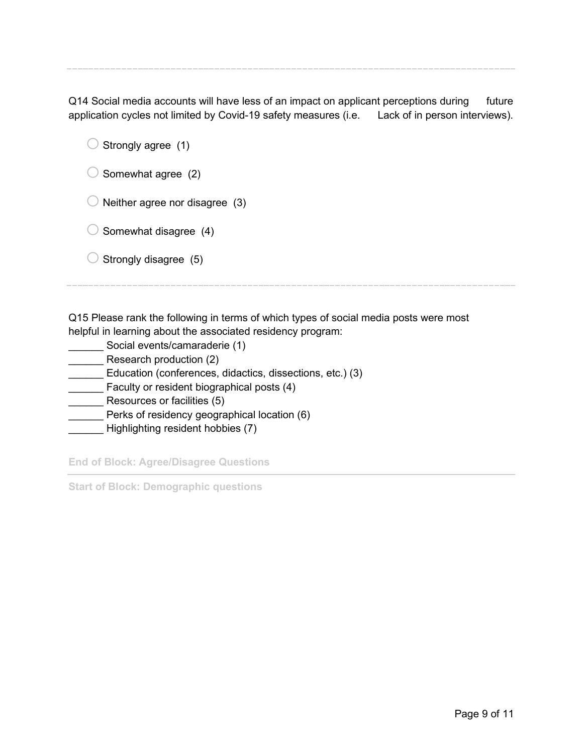Q14 Social media accounts will have less of an impact on applicant perceptions during future application cycles not limited by Covid-19 safety measures (i.e. Lack of in person interviews).

 $\bigcirc$  Strongly agree (1)

 $\bigcirc$  Somewhat agree (2)

 $\bigcirc$  Neither agree nor disagree (3)

 $\bigcirc$  Somewhat disagree (4)

 $\bigcirc$  Strongly disagree (5)

Q15 Please rank the following in terms of which types of social media posts were most helpful in learning about the associated residency program:

- \_\_\_\_\_\_ Social events/camaraderie (1)
- Research production (2)

\_\_\_\_\_\_ Education (conferences, didactics, dissections, etc.) (3)

Faculty or resident biographical posts (4)

**Example 2** Resources or facilities (5)

- Perks of residency geographical location (6)
- \_\_\_\_\_\_ Highlighting resident hobbies (7)

**End of Block: Agree/Disagree Questions**

**Start of Block: Demographic questions**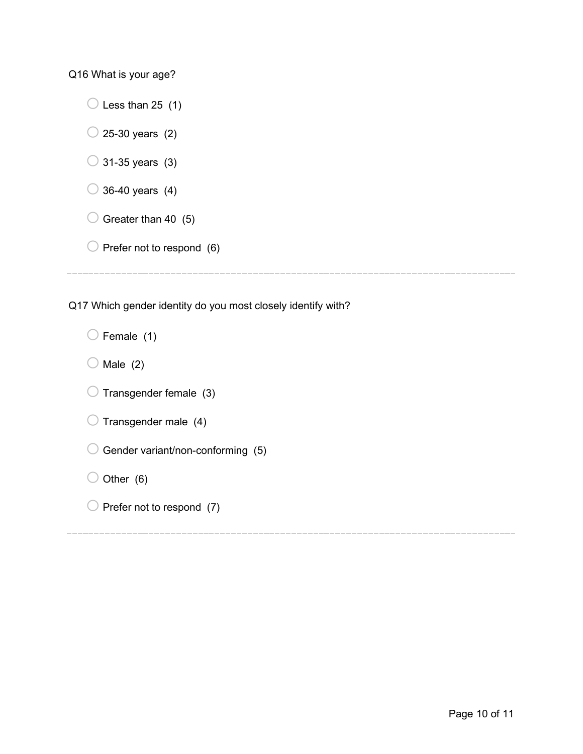Q16 What is your age?

 $\bigcirc$  Less than 25 (1)

 $\bigcirc$  25-30 years (2)

- $\bigcirc$  31-35 years (3)
- $\bigcirc$  36-40 years (4)
- $\bigcirc$  Greater than 40 (5)
- $\bigcirc$  Prefer not to respond (6)

Q17 Which gender identity do you most closely identify with?

| $\bigcirc$ Female (1)                        |
|----------------------------------------------|
| $\bigcirc$ Male (2)                          |
| $\bigcirc$ Transgender female (3)            |
| $\bigcirc$ Transgender male (4)              |
| $\bigcirc$ Gender variant/non-conforming (5) |
| $\bigcirc$ Other (6)                         |
| $\cup$ Prefer not to respond (7)             |